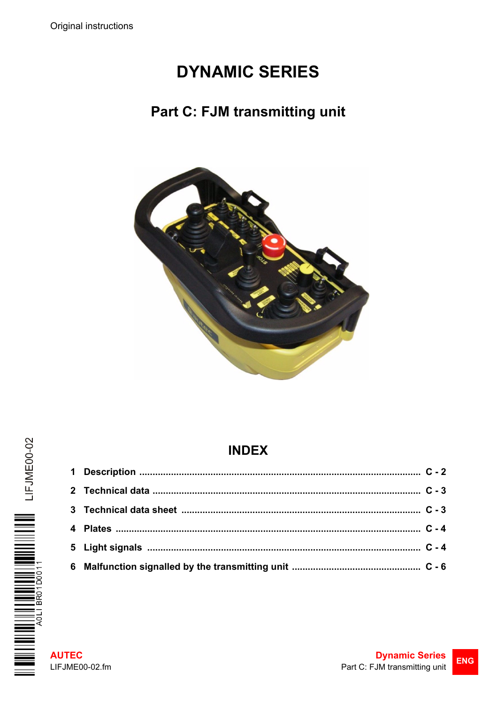# **DYNAMIC SERIES**

### **Part C: FJM transmitting unit**



# **INDEX**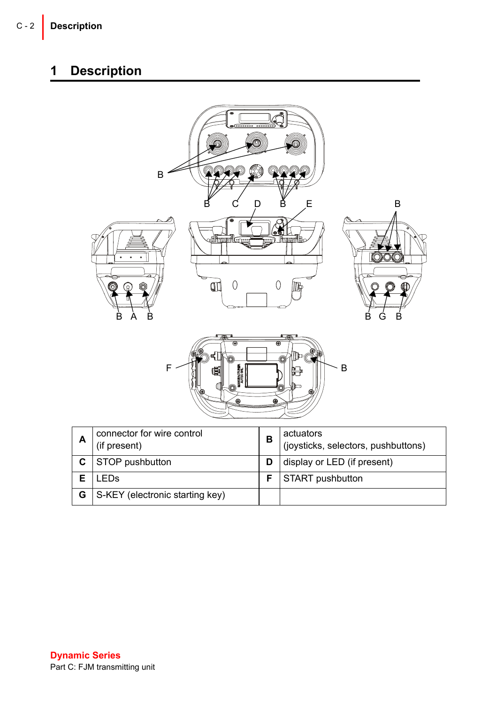## <span id="page-1-0"></span>**1 Description**

| B<br>E<br>D<br>0<br>ŒЦ<br>0<br>IT.<br>$\bullet$<br>B<br>B<br>B<br>Α<br>G<br>F<br>B<br>Е<br>Φ             | B<br>B |
|----------------------------------------------------------------------------------------------------------|--------|
| connector for wire control<br>actuators<br>A<br>B<br>(if present)<br>(joysticks, selectors, pushbuttons) |        |
| $\overline{\mathbf{c}}$<br>STOP pushbutton<br>display or LED (if present)<br>D                           |        |
| E<br>LEDs<br>START pushbutton<br>F                                                                       |        |
| G<br>S-KEY (electronic starting key)                                                                     |        |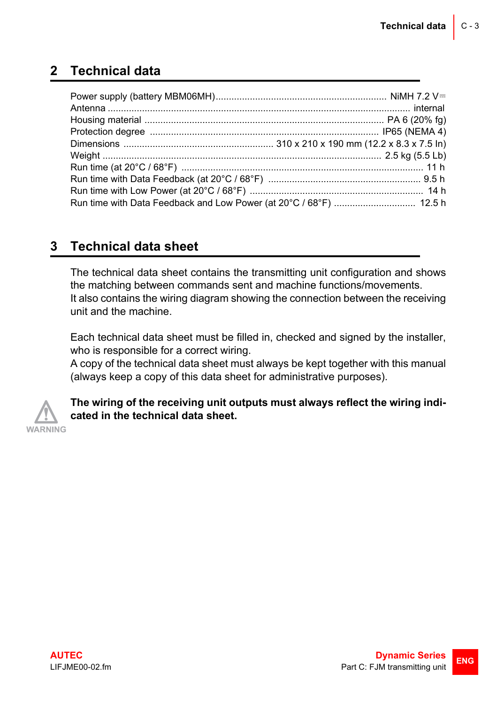#### <span id="page-2-0"></span>**2 Technical data**

#### <span id="page-2-1"></span>**3 Technical data sheet**

The technical data sheet contains the transmitting unit configuration and shows the matching between commands sent and machine functions/movements. It also contains the wiring diagram showing the connection between the receiving unit and the machine.

Each technical data sheet must be filled in, checked and signed by the installer, who is responsible for a correct wiring.

A copy of the technical data sheet must always be kept together with this manual (always keep a copy of this data sheet for administrative purposes).



**The wiring of the receiving unit outputs must always reflect the wiring indicated in the technical data sheet.**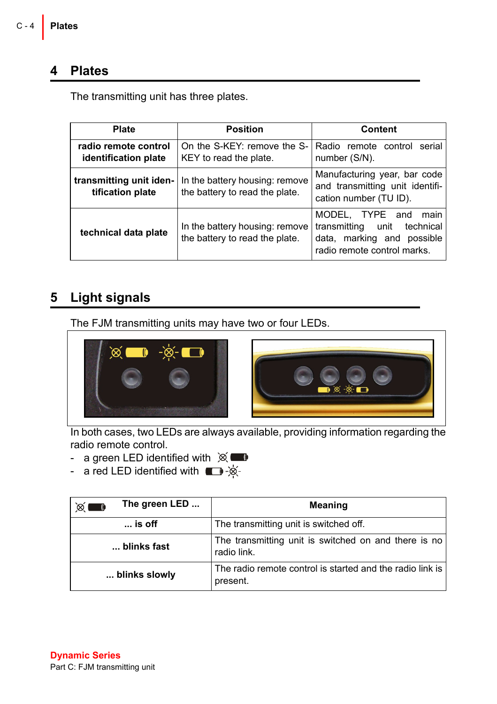#### <span id="page-3-0"></span>**4 Plates**

The transmitting unit has three plates.

| <b>Plate</b>                                 | <b>Position</b>                                                  | Content                                                                                                                      |
|----------------------------------------------|------------------------------------------------------------------|------------------------------------------------------------------------------------------------------------------------------|
| radio remote control<br>identification plate | On the S-KEY: remove the S-<br>KEY to read the plate.            | Radio remote control<br>serial<br>number (S/N).                                                                              |
| transmitting unit iden-<br>tification plate  | In the battery housing: remove<br>the battery to read the plate. | Manufacturing year, bar code<br>and transmitting unit identifi-<br>cation number (TU ID).                                    |
| technical data plate                         | In the battery housing: remove<br>the battery to read the plate. | MODEL, TYPE and<br>main<br>unit<br>transmitting<br>technical<br>marking and possible<br>data,<br>radio remote control marks. |

#### <span id="page-3-1"></span>**5 Light signals**

The FJM transmitting units may have two or four LEDs.



In both cases, two LEDs are always available, providing information regarding the radio remote control.

- a green LED identified with  $\chi$ 

- a red LED identified with  $\blacksquare$ -

| The green LED<br>≫<br>$\blacksquare$ | Meaning                                                               |
|--------------------------------------|-----------------------------------------------------------------------|
| $\ldots$ is off                      | The transmitting unit is switched off.                                |
| blinks fast                          | The transmitting unit is switched on and there is no<br>radio link.   |
| blinks slowly                        | The radio remote control is started and the radio link is<br>present. |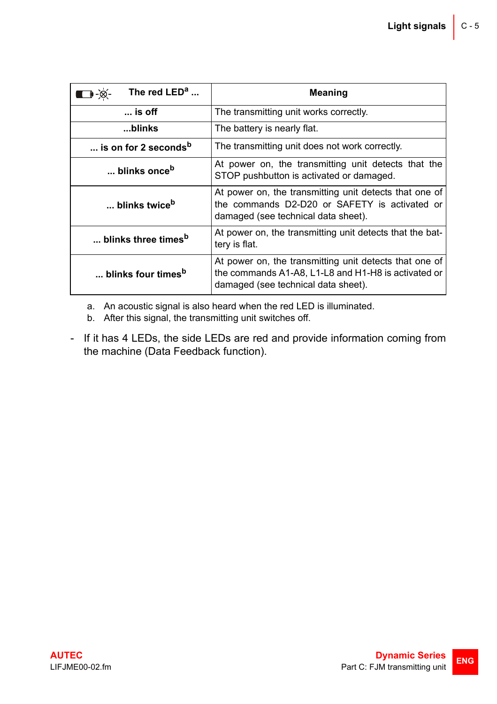| The red $LEDa$<br>-⊗-                    | <b>Meaning</b>                                                                                                                                       |  |
|------------------------------------------|------------------------------------------------------------------------------------------------------------------------------------------------------|--|
| $\ldots$ is off                          | The transmitting unit works correctly.                                                                                                               |  |
| blinks                                   | The battery is nearly flat.                                                                                                                          |  |
| $\dots$ is on for 2 seconds <sup>b</sup> | The transmitting unit does not work correctly.                                                                                                       |  |
| blinks once <sup>b</sup>                 | At power on, the transmitting unit detects that the<br>STOP pushbutton is activated or damaged.                                                      |  |
| blinks twice <sup>b</sup>                | At power on, the transmitting unit detects that one of<br>the commands D2-D20 or SAFETY is activated or<br>damaged (see technical data sheet).       |  |
| blinks three times <sup>b</sup>          | At power on, the transmitting unit detects that the bat-<br>tery is flat.                                                                            |  |
| blinks four times <sup>b</sup>           | At power on, the transmitting unit detects that one of<br>the commands A1-A8, L1-L8 and H1-H8 is activated or<br>damaged (see technical data sheet). |  |

a. An acoustic signal is also heard when the red LED is illuminated.

<span id="page-4-0"></span>b. After this signal, the transmitting unit switches off.

- If it has 4 LEDs, the side LEDs are red and provide information coming from the machine (Data Feedback function).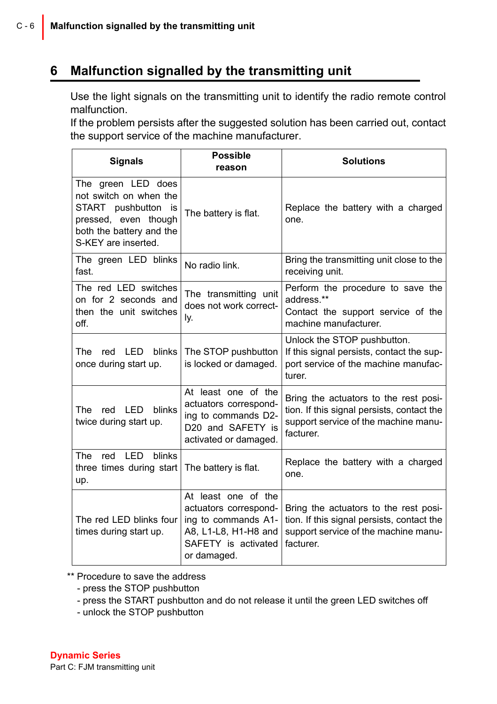#### <span id="page-5-0"></span>**6 Malfunction signalled by the transmitting unit**

Use the light signals on the transmitting unit to identify the radio remote control malfunction.

If the problem persists after the suggested solution has been carried out, contact the support service of the machine manufacturer.

| <b>Signals</b>                                                                                                                                    | <b>Possible</b><br>reason                                                                                                         | <b>Solutions</b>                                                                                                                         |
|---------------------------------------------------------------------------------------------------------------------------------------------------|-----------------------------------------------------------------------------------------------------------------------------------|------------------------------------------------------------------------------------------------------------------------------------------|
| The green LED does<br>not switch on when the<br>START pushbutton<br>is<br>pressed, even though<br>both the battery and the<br>S-KEY are inserted. | The battery is flat.                                                                                                              | Replace the battery with a charged<br>one.                                                                                               |
| The green LED blinks<br>fast.                                                                                                                     | No radio link.                                                                                                                    | Bring the transmitting unit close to the<br>receiving unit.                                                                              |
| The red LED switches<br>on for 2 seconds and<br>then the unit switches<br>off.                                                                    | The transmitting unit<br>does not work correct-<br>ly.                                                                            | Perform the procedure to save the<br>address.**<br>Contact the support service of the<br>machine manufacturer.                           |
| <b>LED</b><br>blinks<br>The<br>red<br>once during start up.                                                                                       | The STOP pushbutton<br>is locked or damaged.                                                                                      | Unlock the STOP pushbutton.<br>If this signal persists, contact the sup-<br>port service of the machine manufac-<br>turer.               |
| red LED<br>blinks<br>The<br>twice during start up.                                                                                                | At least one of the<br>actuators correspond-<br>ing to commands D2-<br>D20 and SAFETY is<br>activated or damaged.                 | Bring the actuators to the rest posi-<br>tion. If this signal persists, contact the<br>support service of the machine manu-<br>facturer. |
| LED<br>blinks<br>The<br>red<br>three times during start<br>up.                                                                                    | The battery is flat.                                                                                                              | Replace the battery with a charged<br>one.                                                                                               |
| The red LED blinks four<br>times during start up.                                                                                                 | At least one of the<br>actuators correspond-<br>ing to commands A1-<br>A8, L1-L8, H1-H8 and<br>SAFETY is activated<br>or damaged. | Bring the actuators to the rest posi-<br>tion. If this signal persists, contact the<br>support service of the machine manu-<br>facturer. |

\*\* Procedure to save the address

- press the STOP pushbutton
- press the START pushbutton and do not release it until the green LED switches off
- unlock the STOP pushbutton